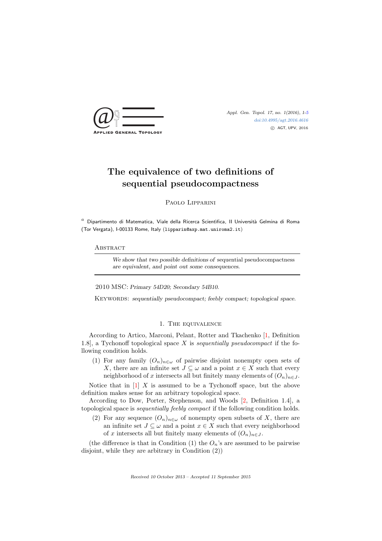

[doi:10.4995/agt.2016.4616](http://dx.doi.org/10.4995/agt.2016.4616) c AGT, UPV, 2016

# The equivalence of two definitions of sequential pseudocompactness

Paolo Lipparini

 $a$  Dipartimento di Matematica, Viale della Ricerca Scientìfica, II Università Gelmina di Roma (Tor Vergata), I-00133 Rome, Italy (lipparin@axp.mat.uniroma2.it)

### **ABSTRACT**

We show that two possible definitions of sequential pseudocompactness are equivalent, and point out some consequences.

2010 MSC: Primary 54D20; Secondary 54B10.

KEYWORDS: sequentially pseudocompact; feebly compact; topological space.

## 1. The equivalence

According to Artico, Marconi, Pelant, Rotter and Tkachenko [\[1,](#page-4-1) Definition 1.8], a Tychonoff topological space  $X$  is sequentially pseudocompact if the following condition holds.

(1) For any family  $(O_n)_{n\in\omega}$  of pairwise disjoint nonempty open sets of X, there are an infinite set  $J \subseteq \omega$  and a point  $x \in X$  such that every neighborhood of x intersects all but finitely many elements of  $(O_n)_{n \in J}$ .

Notice that in  $[1]$  X is assumed to be a Tychonoff space, but the above definition makes sense for an arbitrary topological space.

According to Dow, Porter, Stephenson, and Woods [\[2,](#page-4-2) Definition 1.4], a topological space is sequentially feebly compact if the following condition holds.

(2) For any sequence  $(O_n)_{n\in\omega}$  of nonempty open subsets of X, there are an infinite set  $J \subseteq \omega$  and a point  $x \in X$  such that every neighborhood of x intersects all but finitely many elements of  $(O_n)_{n\in J}$ .

(the difference is that in Condition (1) the  $O_n$ 's are assumed to be pairwise disjoint, while they are arbitrary in Condition (2))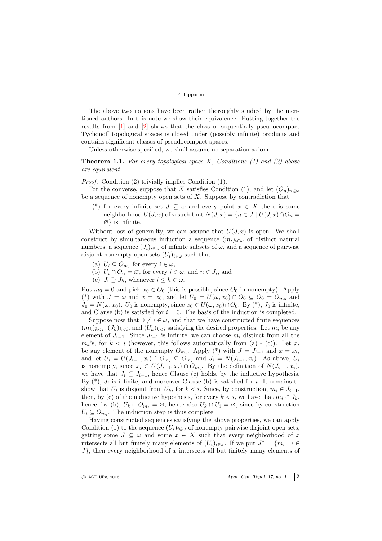#### P. Lipparini

The above two notions have been rather thoroughly studied by the mentioned authors. In this note we show their equivalence. Putting together the results from [\[1\]](#page-4-1) and [\[2\]](#page-4-2) shows that the class of sequentially pseudocompact Tychonoff topological spaces is closed under (possibly infinite) products and contains significant classes of pseudocompact spaces.

Unless otherwise specified, we shall assume no separation axiom.

<span id="page-1-0"></span>**Theorem 1.1.** For every topological space  $X$ , Conditions (1) and (2) above are equivalent.

Proof. Condition (2) trivially implies Condition (1).

For the converse, suppose that X satisfies Condition (1), and let  $(O_n)_{n\in\omega}$ be a sequence of nonempty open sets of  $X$ . Suppose by contradiction that

(\*) for every infinite set  $J \subseteq \omega$  and every point  $x \in X$  there is some neighborhood  $U(J, x)$  of x such that  $N(J, x) = \{n \in J \mid U(J, x) \cap O_n =$ ∅} is infinite.

Without loss of generality, we can assume that  $U(J, x)$  is open. We shall construct by simultaneous induction a sequence  $(m_i)_{i\in\omega}$  of distinct natural numbers, a sequence  $(J_i)_{i\in\omega}$  of infinite subsets of  $\omega$ , and a sequence of pairwise disjoint nonempty open sets  $(U_i)_{i\in\omega}$  such that

- (a)  $U_i \subseteq O_{m_i}$  for every  $i \in \omega$ ,
- (b)  $U_i \cap O_n = \emptyset$ , for every  $i \in \omega$ , and  $n \in J_i$ , and
- (c)  $J_i \supset J_h$ , whenever  $i \leq h \in \omega$ .

Put  $m_0 = 0$  and pick  $x_0 \in O_0$  (this is possible, since  $O_0$  in nonempty). Apply (\*) with  $J = \omega$  and  $x = x_0$ , and let  $U_0 = U(\omega, x_0) \cap O_0 \subseteq O_0 = O_{m_0}$  and  $J_0 = N(\omega, x_0)$ .  $U_0$  is nonempty, since  $x_0 \in U(\omega, x_0) \cap O_0$ . By (\*),  $J_0$  is infinite, and Clause (b) is satisfied for  $i = 0$ . The basis of the induction is completed.

Suppose now that  $0 \neq i \in \omega$ , and that we have constructed finite sequences  $(m_k)_{k \leq i}$ ,  $(J_k)_{k \leq i}$ , and  $(U_k)_{k \leq i}$  satisfying the desired properties. Let  $m_i$  be any element of  $J_{i-1}$ . Since  $J_{i-1}$  is infinite, we can choose  $m_i$  distinct from all the  $m_k$ 's, for  $k < i$  (however, this follows automatically from (a) - (c)). Let  $x_i$ be any element of the nonempty  $O_{m_i}$ . Apply (\*) with  $J = J_{i-1}$  and  $x = x_i$ , and let  $U_i = U(J_{i-1}, x_i) \cap O_{m_i} \subseteq O_{m_i}$  and  $J_i = N(J_{i-1}, x_i)$ . As above,  $U_i$ is nonempty, since  $x_i \in U(J_{i-1}, x_i) \cap O_{m_i}$ . By the definition of  $N(J_{i-1}, x_i)$ , we have that  $J_i \subseteq J_{i-1}$ , hence Clause (c) holds, by the inductive hypothesis. By  $(*), J_i$  is infinite, and moreover Clause (b) is satisfied for i. It remains to show that  $U_i$  is disjoint from  $U_k$ , for  $k < i$ . Since, by construction,  $m_i \in J_{i-1}$ , then, by (c) of the inductive hypothesis, for every  $k < i$ , we have that  $m_i \in J_k$ , hence, by (b),  $U_k \cap O_{m_i} = \emptyset$ , hence also  $U_k \cap U_i = \emptyset$ , since by construction  $U_i \subseteq O_{m_i}$ . The induction step is thus complete.

Having constructed sequences satisfying the above properties, we can apply Condition (1) to the sequence  $(U_i)_{i\in\omega}$  of nonempty pairwise disjoint open sets, getting some  $J \subseteq \omega$  and some  $x \in X$  such that every neighborhood of x intersects all but finitely many elements of  $(U_i)_{i \in J}$ . If we put  $J^* = \{m_i \mid i \in$  $J$ , then every neighborhood of x intersects all but finitely many elements of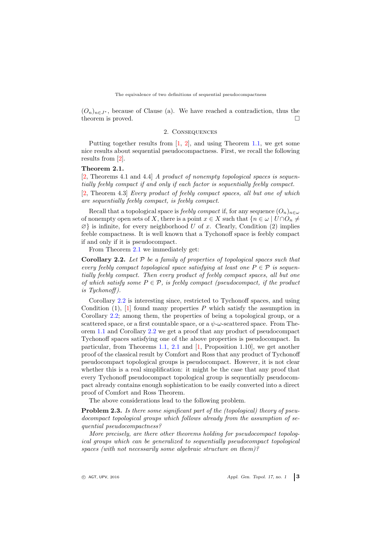The equivalence of two definitions of sequential pseudocompactness

 $(O_n)_{n\in J^*}$ , because of Clause (a). We have reached a contradiction, thus the theorem is proved.

# 2. Consequences

Putting together results from [\[1,](#page-4-1) [2\]](#page-4-2), and using Theorem [1.1,](#page-1-0) we get some nice results about sequential pseudocompactness. First, we recall the following results from [\[2\]](#page-4-2).

## <span id="page-2-0"></span>Theorem 2.1.

[\[2,](#page-4-2) Theorems 4.1 and 4.4] A product of nonempty topological spaces is sequentially feebly compact if and only if each factor is sequentially feebly compact. [\[2,](#page-4-2) Theorem 4.3] Every product of feebly compact spaces, all but one of which are sequentially feebly compact, is feebly compact.

Recall that a topological space is feebly compact if, for any sequence  $(O_n)_{n\in\omega}$ of nonempty open sets of X, there is a point  $x \in X$  such that  $\{n \in \omega \mid U \cap O_n \neq \emptyset\}$  $\varnothing$  is infinite, for every neighborhood U of x. Clearly, Condition (2) implies feeble compactness. It is well known that a Tychonoff space is feebly compact if and only if it is pseudocompact.

From Theorem [2.1](#page-2-0) we immediately get:

<span id="page-2-1"></span>**Corollary 2.2.** Let  $P$  be a family of properties of topological spaces such that every feebly compact topological space satisfying at least one  $P \in \mathcal{P}$  is sequentially feebly compact. Then every product of feebly compact spaces, all but one of which satisfy some  $P \in \mathcal{P}$ , is feebly compact (pseudocompact, if the product is Tychonoff ).

Corollary [2.2](#page-2-1) is interesting since, restricted to Tychonoff spaces, and using Condition  $(1)$ ,  $[1]$  found many properties P which satisfy the assumption in Corollary [2.2;](#page-2-1) among them, the properties of being a topological group, or a scattered space, or a first countable space, or a  $\psi$ - $\omega$ -scattered space. From Theorem [1.1](#page-1-0) and Corollary [2.2](#page-2-1) we get a proof that any product of pseudocompact Tychonoff spaces satisfying one of the above properties is pseudocompact. In particular, from Theorems [1.1,](#page-1-0) [2.1](#page-2-0) and [\[1,](#page-4-1) Proposition 1.10], we get another proof of the classical result by Comfort and Ross that any product of Tychonoff pseudocompact topological groups is pseudocompact. However, it is not clear whether this is a real simplification: it might be the case that any proof that every Tychonoff pseudocompact topological group is sequentially pseudocompact already contains enough sophistication to be easily converted into a direct proof of Comfort and Ross Theorem.

The above considerations lead to the following problem.

Problem 2.3. Is there some significant part of the (topological) theory of pseudocompact topological groups which follows already from the assumption of sequential pseudocompactness?

More precisely, are there other theorems holding for pseudocompact topological groups which can be generalized to sequentially pseudocompact topological spaces (with not necessarily some algebraic structure on them)?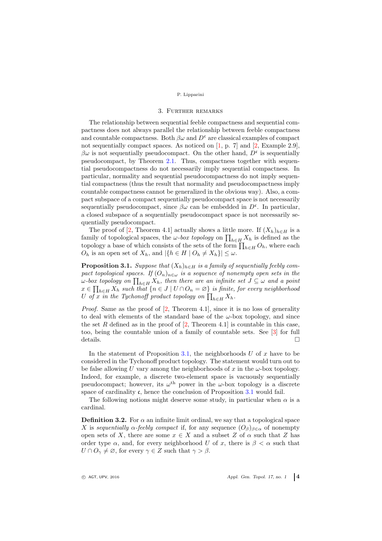#### P. Lipparini

# 3. Further remarks

The relationship between sequential feeble compactness and sequential compactness does not always parallel the relationship between feeble compactness and countable compactness. Both  $\beta\omega$  and  $D^c$  are classical examples of compact not sequentially compact spaces. As noticed on  $[1, p. 7]$  and  $[2, Example 2.9]$ ,  $\beta\omega$  is not sequentially pseudocompact. On the other hand,  $D^{\mathfrak{c}}$  is sequentially pseudocompact, by Theorem [2.1.](#page-2-0) Thus, compactness together with sequential pseudocompactness do not necessarily imply sequential compactness. In particular, normality and sequential pseudocompactness do not imply sequential compactness (thus the result that normality and pseudocompactness imply countable compactness cannot be generalized in the obvious way). Also, a compact subspace of a compact sequentially pseudocompact space is not necessarily sequentially pseudocompact, since  $\beta\omega$  can be embedded in  $D^c$ . In particular, a closed subspace of a sequentially pseudocompact space is not necessarily sequentially pseudocompact.

The proof of [\[2,](#page-4-2) Theorem 4.1] actually shows a little more. If  $(X_h)_{h \in H}$  is a family of topological spaces, the  $\omega$ -box topology on  $\prod_{h\in H} X_h$  is defined as the topology a base of which consists of the sets of the form  $\prod_{h\in H} O_h$ , where each  $O_h$  is an open set of  $X_h$ , and  $|\{h \in H \mid O_h \neq X_h\}| \leq \omega$ .

<span id="page-3-0"></span>**Proposition 3.1.** Suppose that  $(X_h)_{h \in H}$  is a family of sequentially feebly compact topological spaces. If  $(O_n)_{n \in \omega}$  is a sequence of nonempty open sets in the  $\omega$ -box topology on  $\prod_{h\in H}X_h$ , then there are an infinite set  $J\subseteq\omega$  and a point  $x \in \prod_{h \in H} X_h$  such that  $\{n \in J \mid U \cap O_n = \varnothing\}$  is finite, for every neighborhood U of x in the Tychonoff product topology on  $\prod_{h\in H} X_h$ .

*Proof.* Same as the proof of  $[2,$  Theorem 4.1, since it is no loss of generality to deal with elements of the standard base of the  $\omega$ -box topology, and since the set R defined as in the proof of  $[2,$  Theorem 4.1 is countable in this case, too, being the countable union of a family of countable sets. See [\[3\]](#page-4-3) for full details.  $\square$ 

In the statement of Proposition [3.1,](#page-3-0) the neighborhoods U of x have to be considered in the Tychonoff product topology. The statement would turn out to be false allowing U vary among the neighborhoods of x in the  $\omega$ -box topology. Indeed, for example, a discrete two-element space is vacuously sequentially pseudocompact; however, its  $\omega^{\text{th}}$  power in the  $\omega$ -box topology is a discrete space of cardinality  $\mathfrak c$ , hence the conclusion of Proposition [3.1](#page-3-0) would fail.

The following notions might deserve some study, in particular when  $\alpha$  is a cardinal.

**Definition 3.2.** For  $\alpha$  an infinite limit ordinal, we say that a topological space X is sequentially  $\alpha$ -feebly compact if, for any sequence  $(O_\beta)_{\beta \in \alpha}$  of nonempty open sets of X, there are some  $x \in X$  and a subset Z of  $\alpha$  such that Z has order type  $\alpha$ , and, for every neighborhood U of x, there is  $\beta < \alpha$  such that  $U \cap O_{\gamma} \neq \emptyset$ , for every  $\gamma \in Z$  such that  $\gamma > \beta$ .